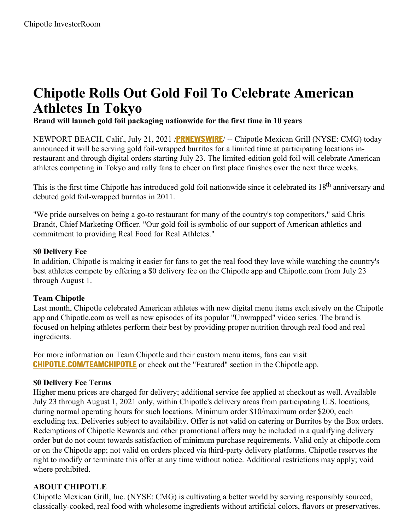# **Chipotle Rolls Out Gold Foil To Celebrate American Athletes In Tokyo**

**Brand will launch gold foil packaging nationwide for the first time in 10 years**

NEWPORT BEACH, Calif., July 21, 2021 /**[PRNEWSWIRE](http://www.prnewswire.com/)**/ -- Chipotle Mexican Grill (NYSE: CMG) today announced it will be serving gold foil-wrapped burritos for a limited time at participating locations inrestaurant and through digital orders starting July 23. The limited-edition gold foil will celebrate American athletes competing in Tokyo and rally fans to cheer on first place finishes over the next three weeks.

This is the first time Chipotle has introduced gold foil nationwide since it celebrated its 18<sup>th</sup> anniversary and debuted gold foil-wrapped burritos in 2011.

"We pride ourselves on being a go-to restaurant for many of the country's top competitors," said Chris Brandt, Chief Marketing Officer. "Our gold foil is symbolic of our support of American athletics and commitment to providing Real Food for Real Athletes."

#### **\$0 Delivery Fee**

In addition, Chipotle is making it easier for fans to get the real food they love while watching the country's best athletes compete by offering a \$0 delivery fee on the Chipotle app and Chipotle.com from July 23 through August 1.

### **Team Chipotle**

Last month, Chipotle celebrated American athletes with new digital menu items exclusively on the Chipotle app and Chipotle.com as well as new episodes of its popular "Unwrapped" video series. The brand is focused on helping athletes perform their best by providing proper nutrition through real food and real ingredients.

For more information on Team Chipotle and their custom menu items, fans can visit **[CHIPOTLE.COM/TEAMCHIPOTLE](https://c212.net/c/link/?t=0&l=en&o=3234448-1&h=2579880375&u=http%3A%2F%2Fchipotle.com%2Fteamchipotle&a=chipotle.com%2Fteamchipotle)** or check out the "Featured" section in the Chipotle app.

### **\$0 Delivery Fee Terms**

Higher menu prices are charged for delivery; additional service fee applied at checkout as well. Available July 23 through August 1, 2021 only, within Chipotle's delivery areas from participating U.S. locations, during normal operating hours for such locations. Minimum order \$10/maximum order \$200, each excluding tax. Deliveries subject to availability. Offer is not valid on catering or Burritos by the Box orders. Redemptions of Chipotle Rewards and other promotional offers may be included in a qualifying delivery order but do not count towards satisfaction of minimum purchase requirements. Valid only at chipotle.com or on the Chipotle app; not valid on orders placed via third-party delivery platforms. Chipotle reserves the right to modify or terminate this offer at any time without notice. Additional restrictions may apply; void where prohibited.

### **ABOUT CHIPOTLE**

Chipotle Mexican Grill, Inc. (NYSE: CMG) is cultivating a better world by serving responsibly sourced, classically-cooked, real food with wholesome ingredients without artificial colors, flavors or preservatives.